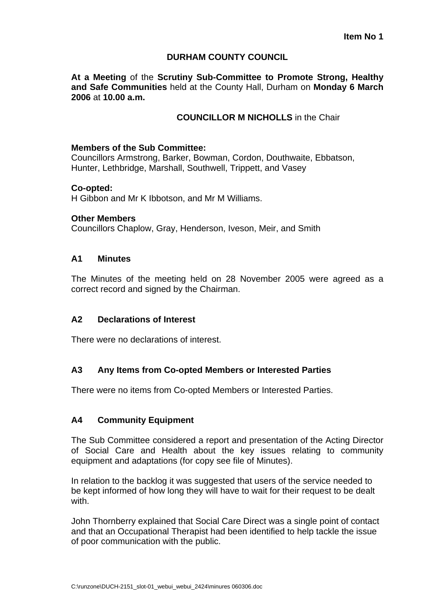## **DURHAM COUNTY COUNCIL**

**At a Meeting** of the **Scrutiny Sub-Committee to Promote Strong, Healthy and Safe Communities** held at the County Hall, Durham on **Monday 6 March 2006** at **10.00 a.m.** 

## **COUNCILLOR M NICHOLLS** in the Chair

#### **Members of the Sub Committee:**

Councillors Armstrong, Barker, Bowman, Cordon, Douthwaite, Ebbatson, Hunter, Lethbridge, Marshall, Southwell, Trippett, and Vasey

#### **Co-opted:**

H Gibbon and Mr K Ibbotson, and Mr M Williams.

#### **Other Members**

Councillors Chaplow, Gray, Henderson, Iveson, Meir, and Smith

#### **A1 Minutes**

The Minutes of the meeting held on 28 November 2005 were agreed as a correct record and signed by the Chairman.

## **A2 Declarations of Interest**

There were no declarations of interest.

# **A3 Any Items from Co-opted Members or Interested Parties**

There were no items from Co-opted Members or Interested Parties.

#### **A4 Community Equipment**

The Sub Committee considered a report and presentation of the Acting Director of Social Care and Health about the key issues relating to community equipment and adaptations (for copy see file of Minutes).

In relation to the backlog it was suggested that users of the service needed to be kept informed of how long they will have to wait for their request to be dealt with.

John Thornberry explained that Social Care Direct was a single point of contact and that an Occupational Therapist had been identified to help tackle the issue of poor communication with the public.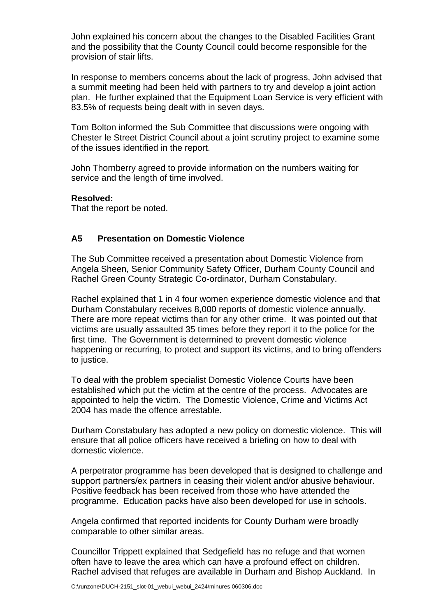John explained his concern about the changes to the Disabled Facilities Grant and the possibility that the County Council could become responsible for the provision of stair lifts.

In response to members concerns about the lack of progress, John advised that a summit meeting had been held with partners to try and develop a joint action plan. He further explained that the Equipment Loan Service is very efficient with 83.5% of requests being dealt with in seven days.

Tom Bolton informed the Sub Committee that discussions were ongoing with Chester le Street District Council about a joint scrutiny project to examine some of the issues identified in the report.

John Thornberry agreed to provide information on the numbers waiting for service and the length of time involved.

## **Resolved:**

That the report be noted.

# **A5 Presentation on Domestic Violence**

The Sub Committee received a presentation about Domestic Violence from Angela Sheen, Senior Community Safety Officer, Durham County Council and Rachel Green County Strategic Co-ordinator, Durham Constabulary.

Rachel explained that 1 in 4 four women experience domestic violence and that Durham Constabulary receives 8,000 reports of domestic violence annually. There are more repeat victims than for any other crime. It was pointed out that victims are usually assaulted 35 times before they report it to the police for the first time. The Government is determined to prevent domestic violence happening or recurring, to protect and support its victims, and to bring offenders to justice.

To deal with the problem specialist Domestic Violence Courts have been established which put the victim at the centre of the process. Advocates are appointed to help the victim. The Domestic Violence, Crime and Victims Act 2004 has made the offence arrestable.

Durham Constabulary has adopted a new policy on domestic violence. This will ensure that all police officers have received a briefing on how to deal with domestic violence.

A perpetrator programme has been developed that is designed to challenge and support partners/ex partners in ceasing their violent and/or abusive behaviour. Positive feedback has been received from those who have attended the programme. Education packs have also been developed for use in schools.

Angela confirmed that reported incidents for County Durham were broadly comparable to other similar areas.

Councillor Trippett explained that Sedgefield has no refuge and that women often have to leave the area which can have a profound effect on children. Rachel advised that refuges are available in Durham and Bishop Auckland. In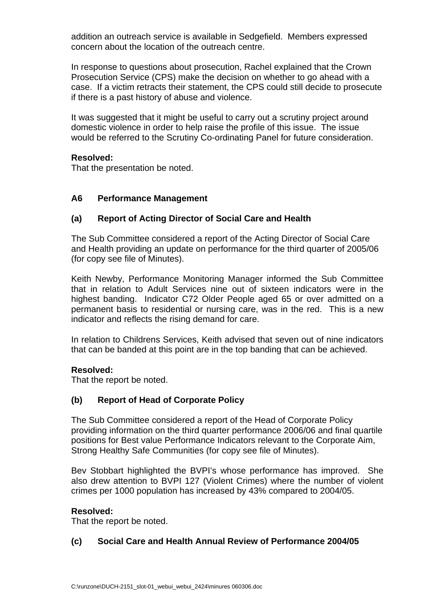addition an outreach service is available in Sedgefield. Members expressed concern about the location of the outreach centre.

In response to questions about prosecution, Rachel explained that the Crown Prosecution Service (CPS) make the decision on whether to go ahead with a case. If a victim retracts their statement, the CPS could still decide to prosecute if there is a past history of abuse and violence.

It was suggested that it might be useful to carry out a scrutiny project around domestic violence in order to help raise the profile of this issue. The issue would be referred to the Scrutiny Co-ordinating Panel for future consideration.

## **Resolved:**

That the presentation be noted.

## **A6 Performance Management**

## **(a) Report of Acting Director of Social Care and Health**

The Sub Committee considered a report of the Acting Director of Social Care and Health providing an update on performance for the third quarter of 2005/06 (for copy see file of Minutes).

Keith Newby, Performance Monitoring Manager informed the Sub Committee that in relation to Adult Services nine out of sixteen indicators were in the highest banding. Indicator C72 Older People aged 65 or over admitted on a permanent basis to residential or nursing care, was in the red. This is a new indicator and reflects the rising demand for care.

In relation to Childrens Services, Keith advised that seven out of nine indicators that can be banded at this point are in the top banding that can be achieved.

#### **Resolved:**

That the report be noted.

# **(b) Report of Head of Corporate Policy**

The Sub Committee considered a report of the Head of Corporate Policy providing information on the third quarter performance 2006/06 and final quartile positions for Best value Performance Indicators relevant to the Corporate Aim, Strong Healthy Safe Communities (for copy see file of Minutes).

Bev Stobbart highlighted the BVPI's whose performance has improved. She also drew attention to BVPI 127 (Violent Crimes) where the number of violent crimes per 1000 population has increased by 43% compared to 2004/05.

#### **Resolved:**

That the report be noted.

# **(c) Social Care and Health Annual Review of Performance 2004/05**